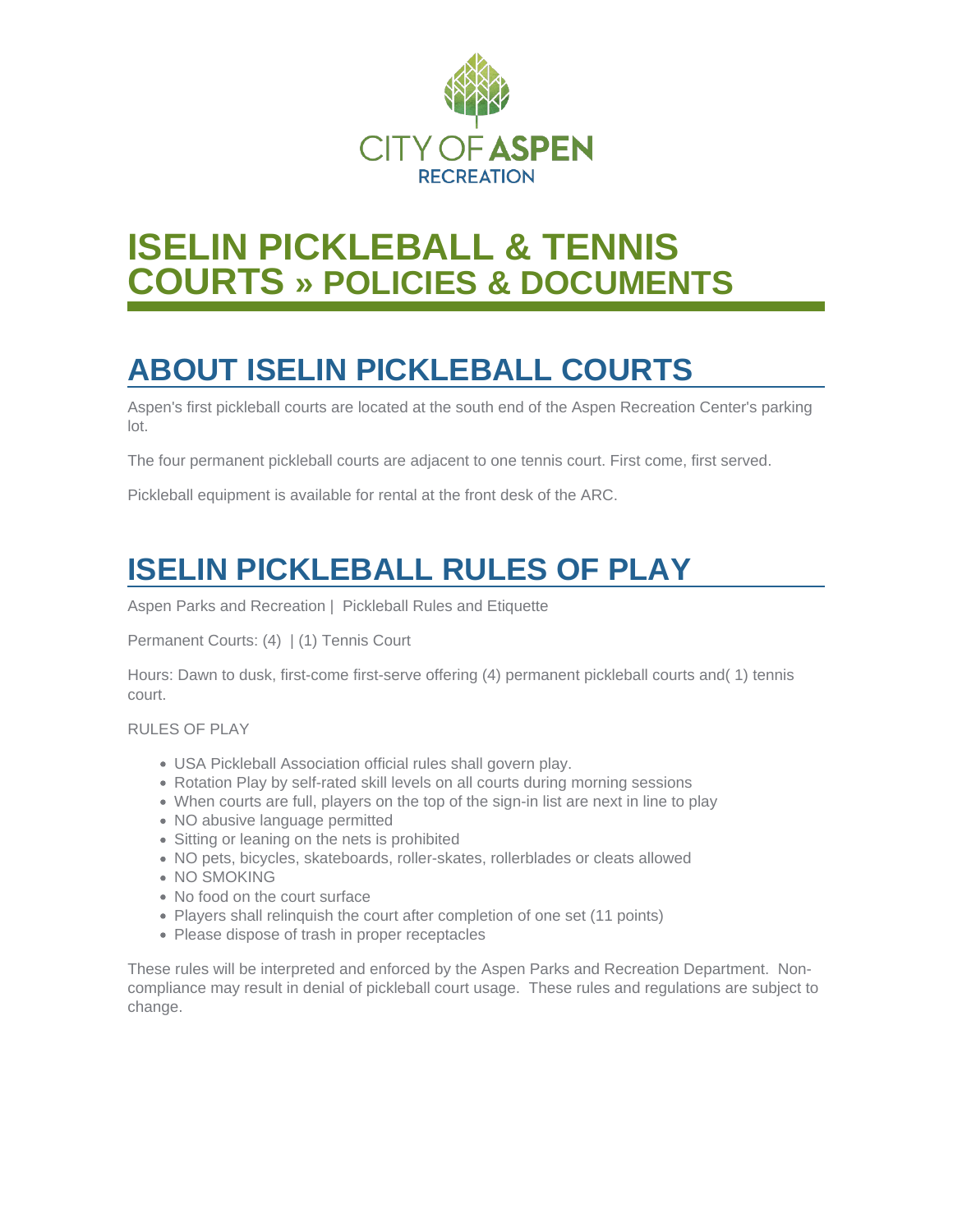

# **ISELIN PICKLEBALL & TENNIS COURTS » POLICIES & DOCUMENTS**

# **ABOUT ISELIN PICKLEBALL COURTS**

Aspen's first pickleball courts are located at the south end of the Aspen Recreation Center's parking lot.

The four permanent pickleball courts are adjacent to one tennis court. First come, first served.

Pickleball equipment is available for rental at the front desk of the ARC.

## **ISELIN PICKLEBALL RULES OF PLAY**

Aspen Parks and Recreation | Pickleball Rules and Etiquette

Permanent Courts: (4) | (1) Tennis Court

Hours: Dawn to dusk, first-come first-serve offering (4) permanent pickleball courts and( 1) tennis court.

RULES OF PLAY

- USA Pickleball Association official rules shall govern play.
- Rotation Play by self-rated skill levels on all courts during morning sessions
- When courts are full, players on the top of the sign-in list are next in line to play
- NO abusive language permitted
- Sitting or leaning on the nets is prohibited
- NO pets, bicycles, skateboards, roller-skates, rollerblades or cleats allowed
- NO SMOKING
- No food on the court surface
- Players shall relinquish the court after completion of one set (11 points)
- Please dispose of trash in proper receptacles

These rules will be interpreted and enforced by the Aspen Parks and Recreation Department. Noncompliance may result in denial of pickleball court usage. These rules and regulations are subject to change.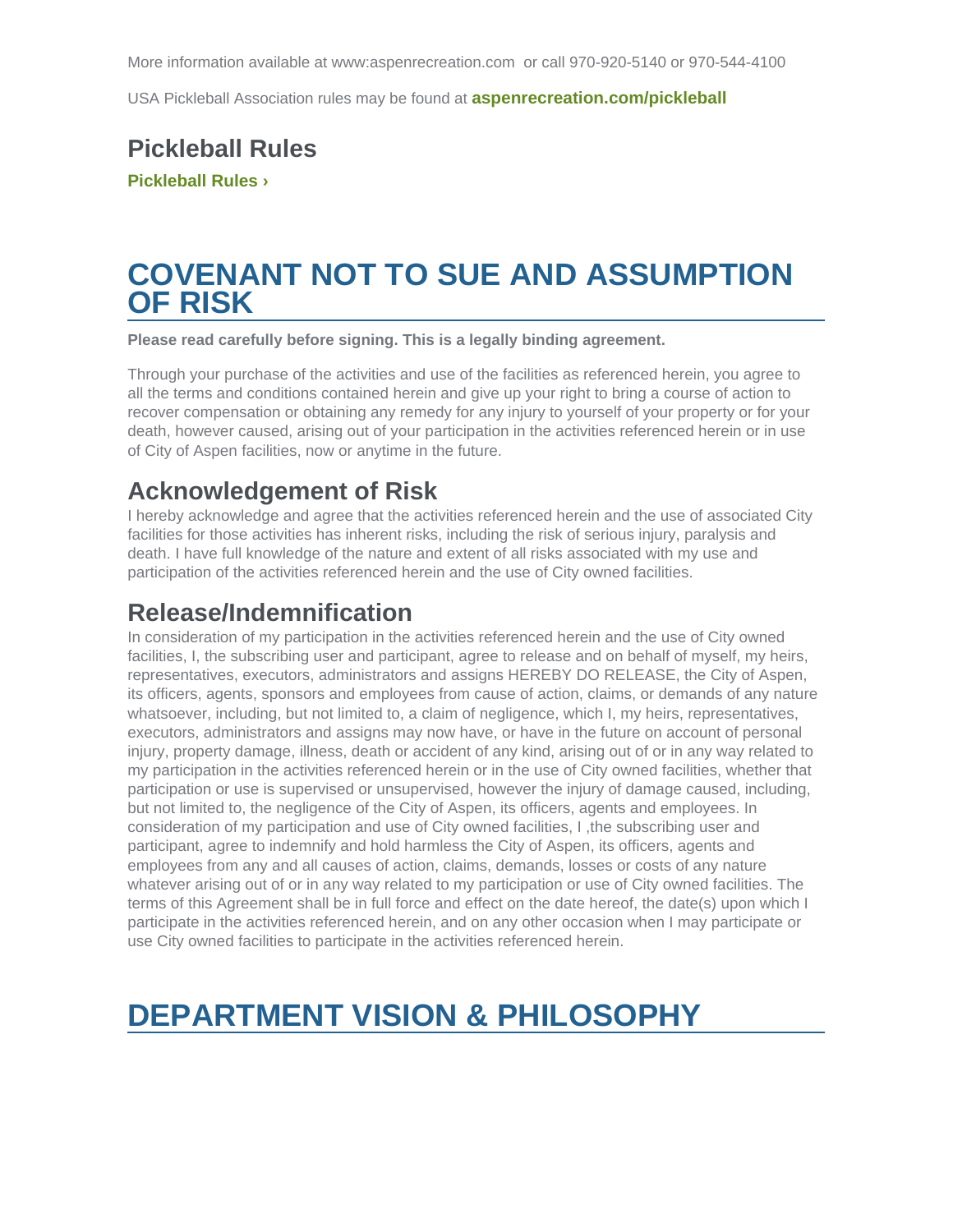USA Pickleball Association rules may be found at [aspenrecreation.com/pickleball](http://aspenrecreation.com/pickleball)

#### Pickleball Rules Pickleball Rules >

## COVENANT NOT TO SUE AND ASSUMPTION OF RISK

Please read carefully before signing. This is a legally binding agreement.

Through your purchase of the activities and use of the facilities as referenced herein, you agree to all the terms and conditions contained herein and give up your right to bring a course of action to recover compensation or obtaining any remedy for any injury to yourself of your property or for your death, however caused, arising out of your participation in the activities referenced herein or in use of City of Aspen facilities, now or anytime in the future.

#### Acknowledgement of Risk

I hereby acknowledge and agree that the activities referenced herein and the use of associated City facilities for those activities has inherent risks, including the risk of serious injury, paralysis and death. I have full knowledge of the nature and extent of all risks associated with my use and participation of the activities referenced herein and the use of City owned facilities.

#### Release/Indemnification

In consideration of my participation in the activities referenced herein and the use of City owned facilities, I, the subscribing user and participant, agree to release and on behalf of myself, my heirs, representatives, executors, administrators and assigns HEREBY DO RELEASE, the City of Aspen, its officers, agents, sponsors and employees from cause of action, claims, or demands of any nature whatsoever, including, but not limited to, a claim of negligence, which I, my heirs, representatives, executors, administrators and assigns may now have, or have in the future on account of personal injury, property damage, illness, death or accident of any kind, arising out of or in any way related to my participation in the activities referenced herein or in the use of City owned facilities, whether that participation or use is supervised or unsupervised, however the injury of damage caused, including, but not limited to, the negligence of the City of Aspen, its officers, agents and employees. In consideration of my participation and use of City owned facilities, I ,the subscribing user and participant, agree to indemnify and hold harmless the City of Aspen, its officers, agents and employees from any and all causes of action, claims, demands, losses or costs of any nature whatever arising out of or in any way related to my participation or use of City owned facilities. The terms of this Agreement shall be in full force and effect on the date hereof, the date(s) upon which I participate in the activities referenced herein, and on any other occasion when I may participate or use City owned facilities to participate in the activities referenced herein.

## DEPARTMENT VISION & PHILOSOPHY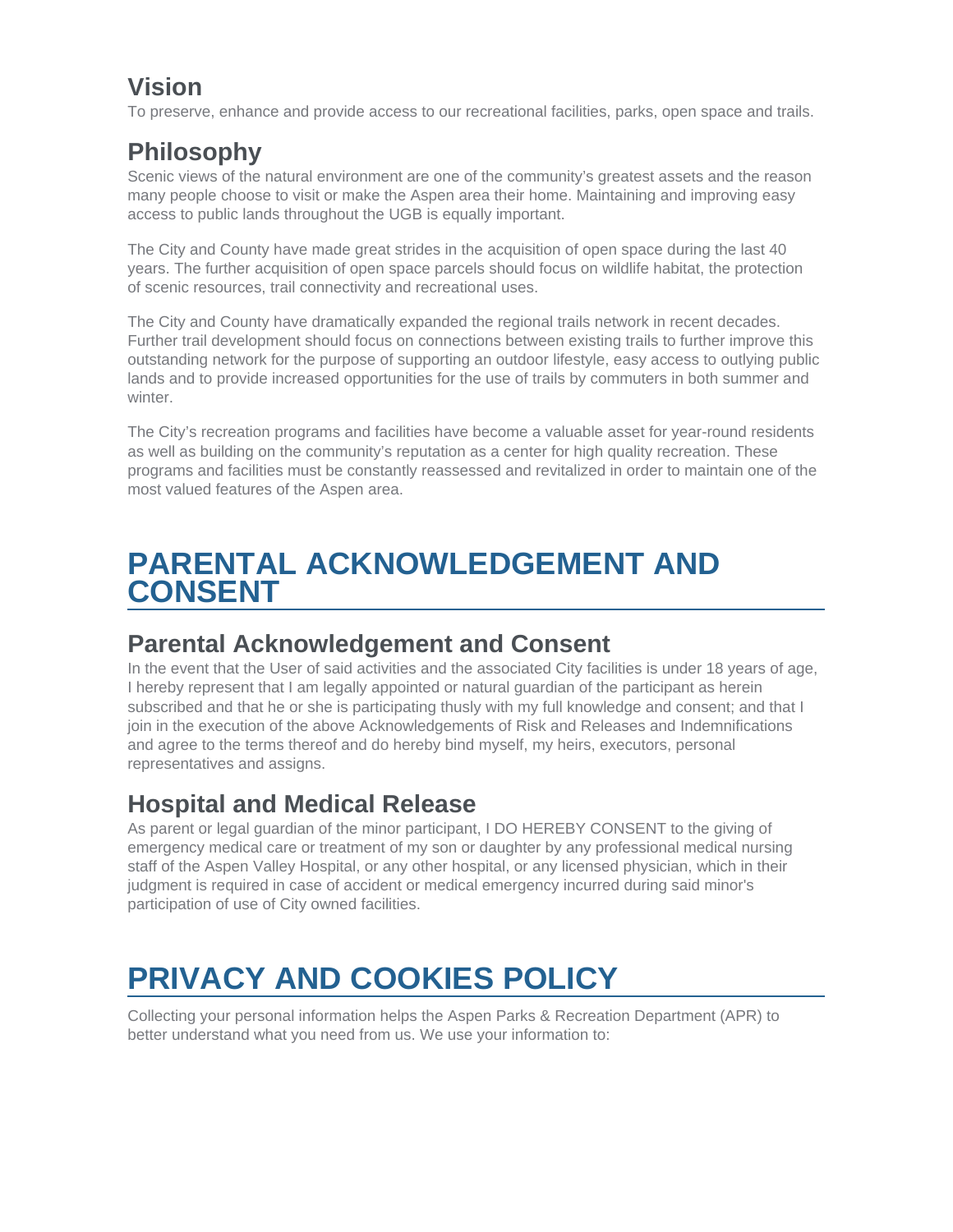### **Vision**

To preserve, enhance and provide access to our recreational facilities, parks, open space and trails.

## **Philosophy**

Scenic views of the natural environment are one of the community's greatest assets and the reason many people choose to visit or make the Aspen area their home. Maintaining and improving easy access to public lands throughout the UGB is equally important.

The City and County have made great strides in the acquisition of open space during the last 40 years. The further acquisition of open space parcels should focus on wildlife habitat, the protection of scenic resources, trail connectivity and recreational uses.

The City and County have dramatically expanded the regional trails network in recent decades. Further trail development should focus on connections between existing trails to further improve this outstanding network for the purpose of supporting an outdoor lifestyle, easy access to outlying public lands and to provide increased opportunities for the use of trails by commuters in both summer and winter.

The City's recreation programs and facilities have become a valuable asset for year-round residents as well as building on the community's reputation as a center for high quality recreation. These programs and facilities must be constantly reassessed and revitalized in order to maintain one of the most valued features of the Aspen area.

## **PARENTAL ACKNOWLEDGEMENT AND CONSENT**

#### **Parental Acknowledgement and Consent**

In the event that the User of said activities and the associated City facilities is under 18 years of age, I hereby represent that I am legally appointed or natural guardian of the participant as herein subscribed and that he or she is participating thusly with my full knowledge and consent; and that I join in the execution of the above Acknowledgements of Risk and Releases and Indemnifications and agree to the terms thereof and do hereby bind myself, my heirs, executors, personal representatives and assigns.

## **Hospital and Medical Release**

As parent or legal guardian of the minor participant, I DO HEREBY CONSENT to the giving of emergency medical care or treatment of my son or daughter by any professional medical nursing staff of the Aspen Valley Hospital, or any other hospital, or any licensed physician, which in their judgment is required in case of accident or medical emergency incurred during said minor's participation of use of City owned facilities.

# **PRIVACY AND COOKIES POLICY**

Collecting your personal information helps the Aspen Parks & Recreation Department (APR) to better understand what you need from us. We use your information to: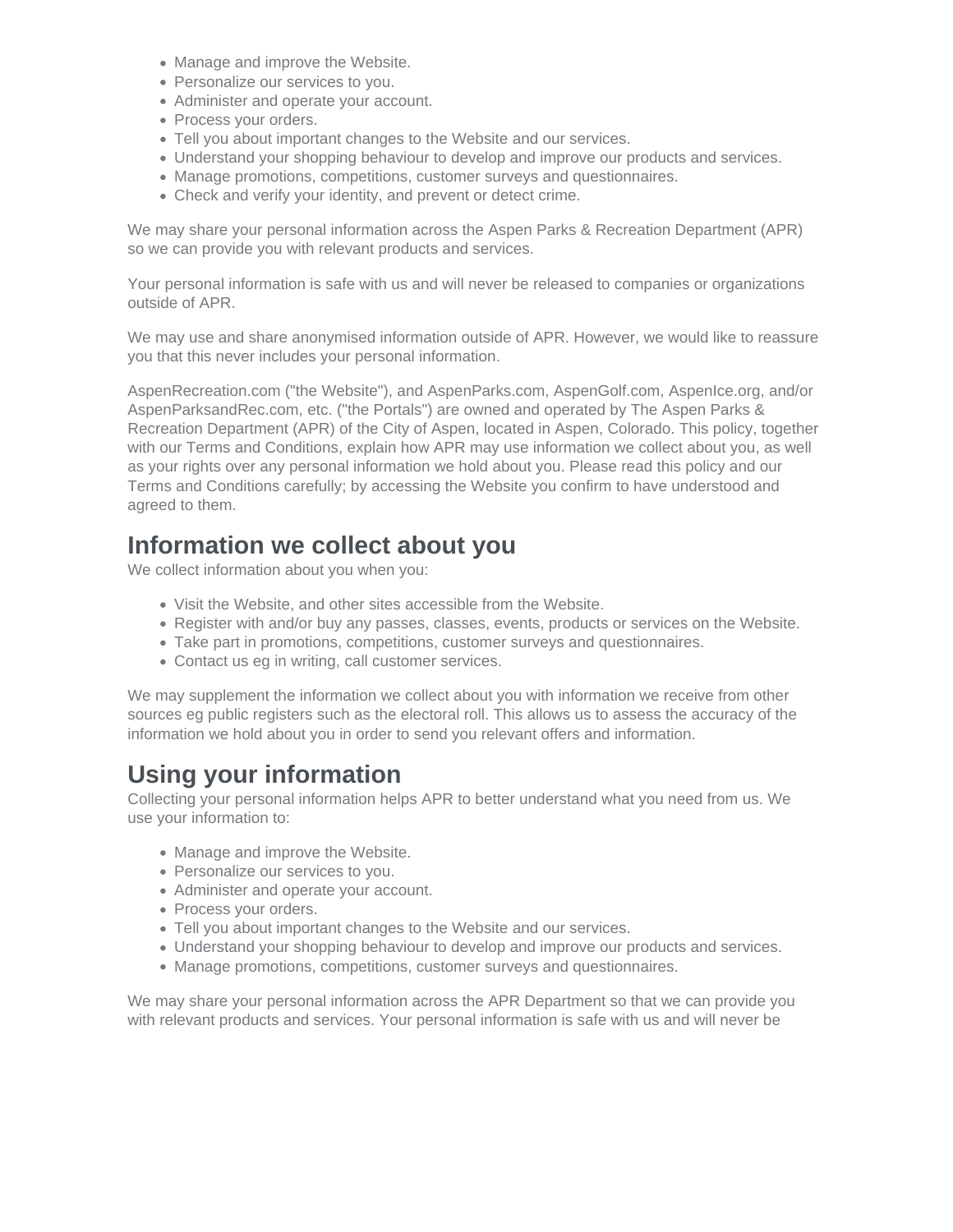- Manage and improve the Website.
- Personalize our services to you.
- Administer and operate your account.
- Process your orders.
- Tell you about important changes to the Website and our services.
- Understand your shopping behaviour to develop and improve our products and services.
- Manage promotions, competitions, customer surveys and questionnaires.
- Check and verify your identity, and prevent or detect crime.

We may share your personal information across the Aspen Parks & Recreation Department (APR) so we can provide you with relevant products and services.

Your personal information is safe with us and will never be released to companies or organizations outside of APR.

We may use and share anonymised information outside of APR. However, we would like to reassure you that this never includes your personal information.

AspenRecreation.com ("the Website"), and AspenParks.com, AspenGolf.com, AspenIce.org, and/or AspenParksandRec.com, etc. ("the Portals") are owned and operated by The Aspen Parks & Recreation Department (APR) of the City of Aspen, located in Aspen, Colorado. This policy, together with our Terms and Conditions, explain how APR may use information we collect about you, as well as your rights over any personal information we hold about you. Please read this policy and our Terms and Conditions carefully; by accessing the Website you confirm to have understood and agreed to them.

#### **Information we collect about you**

We collect information about you when you:

- Visit the Website, and other sites accessible from the Website.
- Register with and/or buy any passes, classes, events, products or services on the Website.
- Take part in promotions, competitions, customer surveys and questionnaires.
- Contact us eg in writing, call customer services.

We may supplement the information we collect about you with information we receive from other sources eg public registers such as the electoral roll. This allows us to assess the accuracy of the information we hold about you in order to send you relevant offers and information.

#### **Using your information**

Collecting your personal information helps APR to better understand what you need from us. We use your information to:

- Manage and improve the Website.
- Personalize our services to you.
- Administer and operate your account.
- Process your orders.
- Tell you about important changes to the Website and our services.
- Understand your shopping behaviour to develop and improve our products and services.
- Manage promotions, competitions, customer surveys and questionnaires.

We may share your personal information across the APR Department so that we can provide you with relevant products and services. Your personal information is safe with us and will never be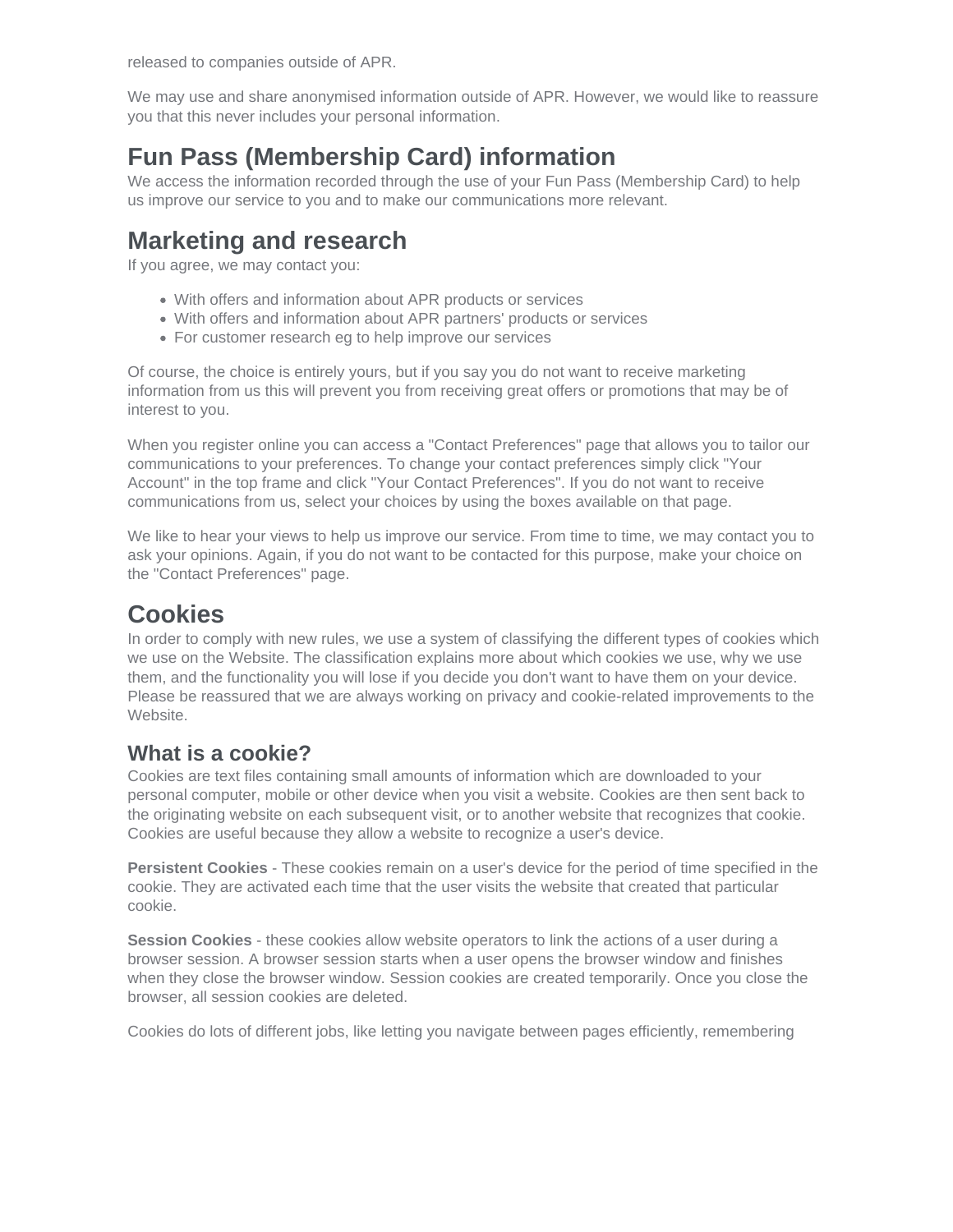released to companies outside of APR.

We may use and share anonymised information outside of APR. However, we would like to reassure you that this never includes your personal information.

### **Fun Pass (Membership Card) information**

We access the information recorded through the use of your Fun Pass (Membership Card) to help us improve our service to you and to make our communications more relevant.

### **Marketing and research**

If you agree, we may contact you:

- With offers and information about APR products or services
- With offers and information about APR partners' products or services
- For customer research eg to help improve our services

Of course, the choice is entirely yours, but if you say you do not want to receive marketing information from us this will prevent you from receiving great offers or promotions that may be of interest to you.

When you register online you can access a "Contact Preferences" page that allows you to tailor our communications to your preferences. To change your contact preferences simply click "Your Account" in the top frame and click "Your Contact Preferences". If you do not want to receive communications from us, select your choices by using the boxes available on that page.

We like to hear your views to help us improve our service. From time to time, we may contact you to ask your opinions. Again, if you do not want to be contacted for this purpose, make your choice on the "Contact Preferences" page.

#### **Cookies**

In order to comply with new rules, we use a system of classifying the different types of cookies which we use on the Website. The classification explains more about which cookies we use, why we use them, and the functionality you will lose if you decide you don't want to have them on your device. Please be reassured that we are always working on privacy and cookie-related improvements to the Website.

#### **What is a cookie?**

Cookies are text files containing small amounts of information which are downloaded to your personal computer, mobile or other device when you visit a website. Cookies are then sent back to the originating website on each subsequent visit, or to another website that recognizes that cookie. Cookies are useful because they allow a website to recognize a user's device.

**Persistent Cookies** - These cookies remain on a user's device for the period of time specified in the cookie. They are activated each time that the user visits the website that created that particular cookie.

**Session Cookies** - these cookies allow website operators to link the actions of a user during a browser session. A browser session starts when a user opens the browser window and finishes when they close the browser window. Session cookies are created temporarily. Once you close the browser, all session cookies are deleted.

Cookies do lots of different jobs, like letting you navigate between pages efficiently, remembering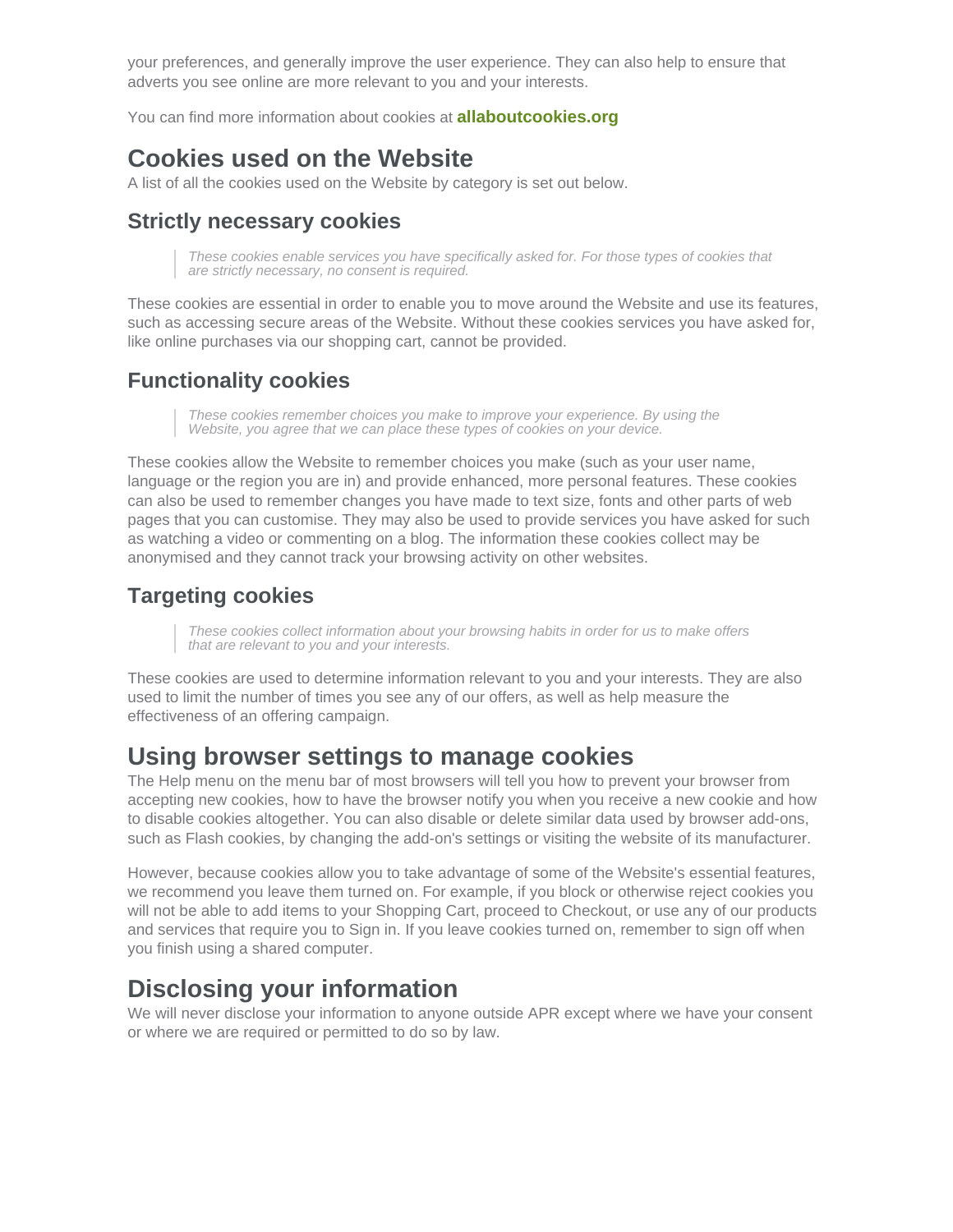your preferences, and generally improve the user experience. They can also help to ensure that adverts you see online are more relevant to you and your interests.

You can find more information about cookies at [allaboutcookies.org](http://allaboutcookies.org)

#### Cookies used on the Website

A list of all the cookies used on the Website by category is set out below.

#### Strictly necessary cookies

These cookies enable services you have specifically asked for. For those types of cookies that are strictly necessary, no consent is required.

These cookies are essential in order to enable you to move around the Website and use its features, such as accessing secure areas of the Website. Without these cookies services you have asked for, like online purchases via our shopping cart, cannot be provided.

#### Functionality cookies

These cookies remember choices you make to improve your experience. By using the Website, you agree that we can place these types of cookies on your device.

These cookies allow the Website to remember choices you make (such as your user name, language or the region you are in) and provide enhanced, more personal features. These cookies can also be used to remember changes you have made to text size, fonts and other parts of web pages that you can customise. They may also be used to provide services you have asked for such as watching a video or commenting on a blog. The information these cookies collect may be anonymised and they cannot track your browsing activity on other websites.

#### Targeting cookies

These cookies collect information about your browsing habits in order for us to make offers that are relevant to you and your interests.

These cookies are used to determine information relevant to you and your interests. They are also used to limit the number of times you see any of our offers, as well as help measure the effectiveness of an offering campaign.

#### Using browser settings to manage cookies

The Help menu on the menu bar of most browsers will tell you how to prevent your browser from accepting new cookies, how to have the browser notify you when you receive a new cookie and how to disable cookies altogether. You can also disable or delete similar data used by browser add-ons, such as Flash cookies, by changing the add-on's settings or visiting the website of its manufacturer.

However, because cookies allow you to take advantage of some of the Website's essential features, we recommend you leave them turned on. For example, if you block or otherwise reject cookies you will not be able to add items to your Shopping Cart, proceed to Checkout, or use any of our products and services that require you to Sign in. If you leave cookies turned on, remember to sign off when you finish using a shared computer.

#### Disclosing your information

We will never disclose your information to anyone outside APR except where we have your consent or where we are required or permitted to do so by law.